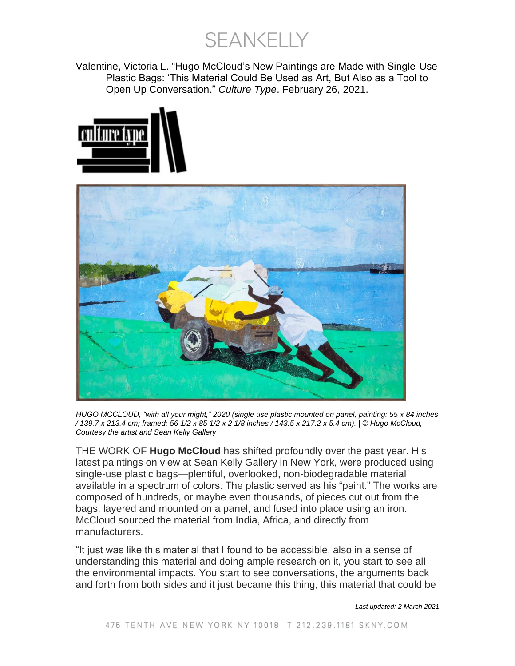**SEANKELLY** 

Valentine, Victoria L. "Hugo McCloud's New Paintings are Made with Single-Use Plastic Bags: 'This Material Could Be Used as Art, But Also as a Tool to Open Up Conversation." *Culture Type*. February 26, 2021.





*HUGO MCCLOUD, "with all your might," 2020 (single use plastic mounted on panel, painting: 55 x 84 inches / 139.7 x 213.4 cm; framed: 56 1/2 x 85 1/2 x 2 1/8 inches / 143.5 x 217.2 x 5.4 cm). | © Hugo McCloud, Courtesy the artist and Sean Kelly Gallery*

THE WORK OF **Hugo McCloud** has shifted profoundly over the past year. His latest paintings on view at Sean Kelly Gallery in New York, were produced using single-use plastic bags—plentiful, overlooked, non-biodegradable material available in a spectrum of colors. The plastic served as his "paint." The works are composed of hundreds, or maybe even thousands, of pieces cut out from the bags, layered and mounted on a panel, and fused into place using an iron. McCloud sourced the material from India, Africa, and directly from manufacturers.

"It just was like this material that I found to be accessible, also in a sense of understanding this material and doing ample research on it, you start to see all the environmental impacts. You start to see conversations, the arguments back and forth from both sides and it just became this thing, this material that could be

*Last updated: 2 March 2021*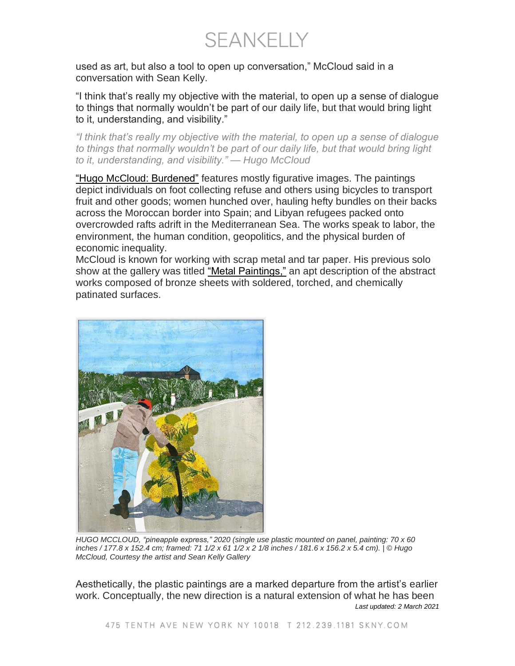SEANKELLY

used as art, but also a tool to open up conversation," McCloud said in a conversation with Sean Kelly.

"I think that's really my objective with the material, to open up a sense of dialogue to things that normally wouldn't be part of our daily life, but that would bring light to it, understanding, and visibility."

*"I think that's really my objective with the material, to open up a sense of dialogue to things that normally wouldn't be part of our daily life, but that would bring light to it, understanding, and visibility." — Hugo McCloud*

"Hugo McCloud: [Burdened"](https://www.skny.com/exhibitions/hugo-mccloud2) features mostly figurative images. The paintings depict individuals on foot collecting refuse and others using bicycles to transport fruit and other goods; women hunched over, hauling hefty bundles on their backs across the Moroccan border into Spain; and Libyan refugees packed onto overcrowded rafts adrift in the Mediterranean Sea. The works speak to labor, the environment, the human condition, geopolitics, and the physical burden of economic inequality.

McCloud is known for working with scrap metal and tar paper. His previous solo show at the gallery was titled "Metal [Paintings,"](https://www.skny.com/exhibitions/hugo-mccloud-sean-kelly-bk) an apt description of the abstract works composed of bronze sheets with soldered, torched, and chemically patinated surfaces.



*HUGO MCCLOUD, "pineapple express," 2020 (single use plastic mounted on panel, painting: 70 x 60* inches / 177.8 x 152.4 cm; framed: 71 1/2 x 61 1/2 x 2 1/8 inches / 181.6 x 156.2 x 5.4 cm). | © Hugo *McCloud, Courtesy the artist and Sean Kelly Gallery*

*Last updated: 2 March 2021* Aesthetically, the plastic paintings are a marked departure from the artist's earlier work. Conceptually, the new direction is a natural extension of what he has been